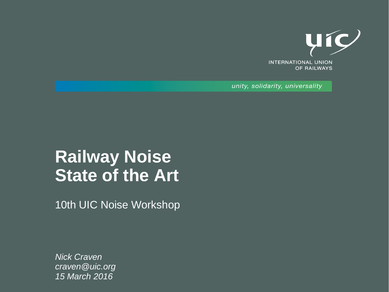

unity, solidarity, universality

### **Railway Noise State of the Art**

10th UIC Noise Workshop

*Nick Craven craven@uic.org 15 March 2016*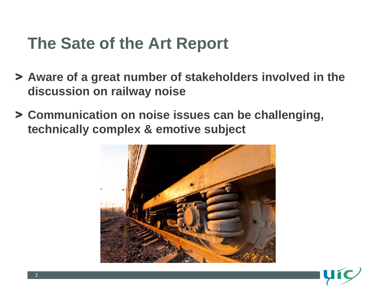## **The Sate of the Art Report**

- > **Aware of a great number of stakeholders involved in the discussion on railway noise**
- > **Communication on noise issues can be challenging, technically complex & emotive subject**



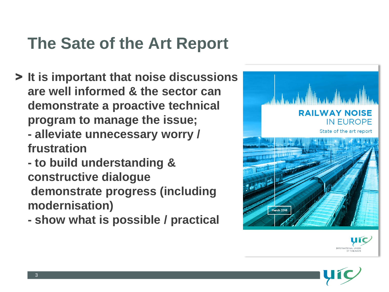# **The Sate of the Art Report**

- > **It is important that noise discussions are well informed & the sector can demonstrate a proactive technical program to manage the issue;**
	- **- alleviate unnecessary worry / frustration**
	- **- to build understanding & constructive dialogue**
	- **demonstrate progress (including modernisation)**
	- **- show what is possible / practical**





OF RAILWAYS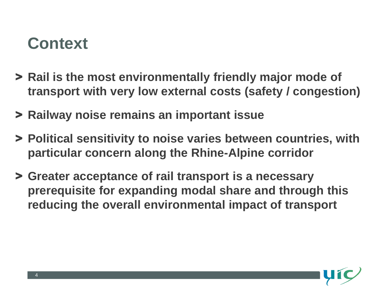#### **Context**

- > **Rail is the most environmentally friendly major mode of transport with very low external costs (safety / congestion)**
- > **Railway noise remains an important issue**
- > **Political sensitivity to noise varies between countries, with particular concern along the Rhine-Alpine corridor**
- > **Greater acceptance of rail transport is a necessary prerequisite for expanding modal share and through this reducing the overall environmental impact of transport**

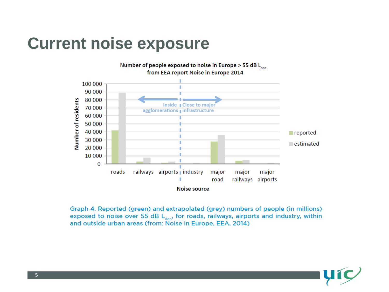#### **Current noise exposure**



Graph 4. Reported (green) and extrapolated (grey) numbers of people (in millions) exposed to noise over 55 dB  $L_{den}$ , for roads, railways, airports and industry, within and outside urban areas (from: Noise in Europe, EEA, 2014)

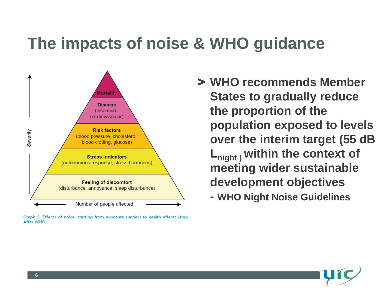#### **The impacts of noise & WHO guidance**



Graph 2. Effects of noise, starting from exposure (under) to health effects (top). **After WHO** 

> **WHO recommends Member States to gradually reduce the proportion of the population exposed to levels over the interim target (55 dB Lnight ) within the context of meeting wider sustainable development objectives - WHO Night Noise Guidelines**

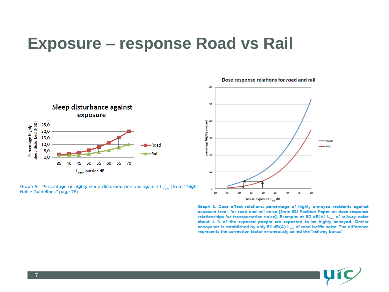#### **Exposure – response Road vs Rail**



Graph 5 - Percentage of highly sleep disturbed persons against L<sub>night</sub> (from "Night Noise Guidelines" page 78)



Graph 3. Dose effect relations: percentage of highly annoyed residents against exposure level, for road and rail noise [from EU Position Paper on dose response relationships for transportation noise]. Example: at 60  $dB(A) L_{\text{tan}}$  of railway noise about 4 % of the exposed people are expected to be highly annoyed. Similar annoyance is established by only 52 dB(A) L<sub>den</sub> of road traffic noise. The difference represents the correction factor erroneously called the "railway bonus"



Dose response relations for road and rail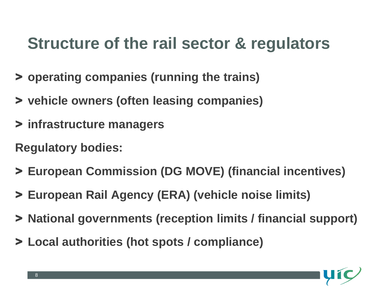## **Structure of the rail sector & regulators**

- > **operating companies (running the trains)**
- > **vehicle owners (often leasing companies)**
- > **infrastructure managers**
- **Regulatory bodies:**
- > **European Commission (DG MOVE) (financial incentives)**
- > **European Rail Agency (ERA) (vehicle noise limits)**
- > **National governments (reception limits / financial support)**
- > **Local authorities (hot spots / compliance)**

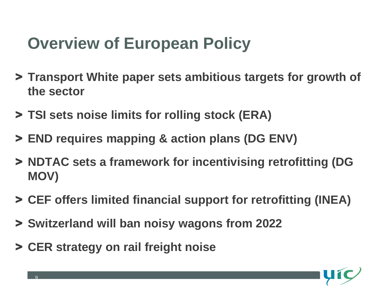## **Overview of European Policy**

- > **Transport White paper sets ambitious targets for growth of the sector**
- > **TSI sets noise limits for rolling stock (ERA)**
- > **END requires mapping & action plans (DG ENV)**
- > **NDTAC sets a framework for incentivising retrofitting (DG MOV)**
- > **CEF offers limited financial support for retrofitting (INEA)**
- > **Switzerland will ban noisy wagons from 2022**
- > **CER strategy on rail freight noise**

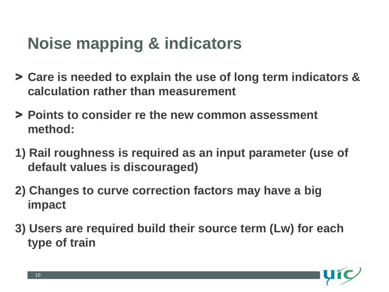# **Noise mapping & indicators**

- > **Care is needed to explain the use of long term indicators & calculation rather than measurement**
- > **Points to consider re the new common assessment method:**
- **1) Rail roughness is required as an input parameter (use of default values is discouraged)**
- **2) Changes to curve correction factors may have a big impact**
- **3) Users are required build their source term (Lw) for each type of train**

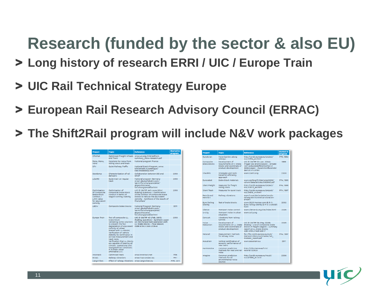# **Research (funded by the sector & also EU)**

- > **Long history of research ERRI / UIC / Europe Train**
- > **UIC Rail Technical Strategy Europe**
- > **European Rail Research Advisory Council (ERRAC)**
- > **The Shift2Rail program will include N&V work packages**

| <b>Project</b>                                                                                               | <b>Topic</b>                                                                                                                                                                                                                                                                                                                                                                                                                          | <b>Reference</b>                                                                                                                                                                                         | <b>Started</b> in<br>program |
|--------------------------------------------------------------------------------------------------------------|---------------------------------------------------------------------------------------------------------------------------------------------------------------------------------------------------------------------------------------------------------------------------------------------------------------------------------------------------------------------------------------------------------------------------------------|----------------------------------------------------------------------------------------------------------------------------------------------------------------------------------------------------------|------------------------------|
| OfWhat                                                                                                       | Optimised Freight Wheels<br>and Track                                                                                                                                                                                                                                                                                                                                                                                                 | www.uic.org/IMG/pdf/erri-<br>summary noise-research.pdf                                                                                                                                                  |                              |
| Rona, Mona.<br>Vona                                                                                          | Solutions for noise from<br>rolling stock and track                                                                                                                                                                                                                                                                                                                                                                                   | National program France                                                                                                                                                                                  |                              |
| <b>STV</b>                                                                                                   | Quiet Railway Traffic                                                                                                                                                                                                                                                                                                                                                                                                                 | National Dutch Program, www.<br>bibliotheek.nl/catalogus/<br>titel 190368802 html                                                                                                                        |                              |
| Stardamp                                                                                                     | Characterisation of rail<br>dampers                                                                                                                                                                                                                                                                                                                                                                                                   | Collaboration between DB and<br>SNCE                                                                                                                                                                     | 2010                         |
| LZARG                                                                                                        | Quiet train on regular<br>track                                                                                                                                                                                                                                                                                                                                                                                                       | National program Germany<br>www1.deutschebahn.com/<br>laerm/forschungsprojekte/<br>abgeschlossene<br>forschungsprojekte.html                                                                             | 2010                         |
| Optimisation<br>of Composite<br><b>Brake Block</b><br>Contour /<br>Limit value<br>for equivalent<br>conicity | Optimisation of<br>composite brake block<br>contour in terms of<br>wagon running stability                                                                                                                                                                                                                                                                                                                                            | UIC B 126/DT 441 (June 2014)<br><b>Braking questions - Optimization</b><br>of the contour of composite brake<br>blocks to reduce the equivalent<br>conicity - Synthesis of the results of<br>final phase | 2010                         |
| LaGiv                                                                                                        | Composite brake blocks                                                                                                                                                                                                                                                                                                                                                                                                                | <b>National Program Germany</b><br>www1.deutschebahn.com/<br>laerm/forschungsproiekte/<br>abgeschlossene<br>forschungsprojekte.html                                                                      | 2011                         |
| Europe Train                                                                                                 | Test of composite LL<br>brake block:<br>Validating some solutions<br>to prevent the fast<br>degradation of equivalent<br>conicity of wheel<br>braked with LL-blocks:<br>Verification of vehicle<br>stability by continuous in-<br>service measurement and<br>track tests:<br>Verification that LL blocks<br>are capable of bearing all<br>climatic, operational and<br>topographical conditions<br>in Europe under<br>affordable LCC. | UIC B 126/RP 43 (Feb. 2013)<br>Braking questions - Synthesis paper<br>on the EuropeTrain operation with<br>LL brake blocks - Final Report.<br>ISBN 978-2-7461-2179-9                                     | 2010                         |
| Innotrack                                                                                                    | Optimised track                                                                                                                                                                                                                                                                                                                                                                                                                       | www.innotrack.net                                                                                                                                                                                        | <b>FP6</b>                   |
| <b>RIVAS</b>                                                                                                 | <b>Railway vibrations</b>                                                                                                                                                                                                                                                                                                                                                                                                             | www.rivas-project.eu                                                                                                                                                                                     | FP7                          |
| CargoVibes                                                                                                   | Effect of railway vibrations www.cargovibes.eu                                                                                                                                                                                                                                                                                                                                                                                        |                                                                                                                                                                                                          | <b>FP6, 2011</b>             |

| <b>Project</b>                   | <b>Topic</b>                                                                                  | <b>Reference</b>                                                                                                                                              | <b>Started</b> in<br>program |
|----------------------------------|-----------------------------------------------------------------------------------------------|---------------------------------------------------------------------------------------------------------------------------------------------------------------|------------------------------|
| Euroécran                        | Noise barriers along<br>railways                                                              | http://cordis.europa.eu/project/<br>rcn/22814 en.html                                                                                                         | FP3, 1994                    |
| Composite<br><b>Brake Blocks</b> | Development of<br>requirements on K brake<br>blocks and coordinate of<br>product development  | UIC B 126/RP 33 (Jan. 2004)<br>Fragen des Bremswesens - Einsatz<br>von Verbundstoffbremsshlen in<br>Güterwagen - Zusammenfassender<br><b>Bericht K-Sohlen</b> | 1999                         |
| <b>STAIRRS</b>                   | <b>Strategies and tools</b><br>based on efficiency<br>approach                                | www.stairrs.org                                                                                                                                               | 2000                         |
| Eurosabot                        | <b>Brake block materials</b>                                                                  | www.conforg.fr/internoise2000/<br>cdrom/data/articles/000843.pdf                                                                                              | FP4, 1995                    |
| <b>Silent Freight</b>            | <b>Measures for freight</b><br>rolling stock                                                  | http://cordis.europa.eu/project/<br>rcn/30970 en.html                                                                                                         | FP4, 1996                    |
| <b>Silent Track</b>              | <b>Measures for quiet track</b>                                                               | http://cordis.europa.eu/project/<br>rcn/34519 en.html                                                                                                         | FP4, 1997                    |
| Renvib and<br>Renvib II          | <b>Railway vibrations</b>                                                                     | www.fcp.at/de/projekte/renvib-<br>railway-environmental-vibration-<br>project                                                                                 |                              |
| <b>Euro Rolling</b><br>Silently  | <b>Test of brake blocks</b>                                                                   | www.2020-horizon.com/E-R-S-<br>Euro-rolling-silently(E-R-S-)-s40357.<br>html                                                                                  | 2002                         |
| Silence                          | <b>Transport noise control</b>                                                                | www.silence-ip.org/site/index.html                                                                                                                            | 2005                         |
| Q-City                           | Transport noise in urban<br>situations                                                        | www.acity.org                                                                                                                                                 |                              |
| Convurt                          | Vibrations from railway<br>tunnels                                                            |                                                                                                                                                               |                              |
| Noise<br>Reduction               | Development of<br>requirements on LL brake<br>blocks and coordinate of<br>product development | UIC B 126/RP 36 (May 2009)<br>Braking - Use of composite brake<br>blocks in freight wagons - Summary<br>report on LL brake blocks.<br>ISBN 978-2-7461-1691-7  | 2005                         |
| Metarail                         | Measurement methods<br>for railway noise                                                      | ftp://ftp.cordis.europa.eu/pub/<br>transport/docs/summaries/rail<br>metarail report.pdf                                                                       | FP4, 1997                    |
| <b>Acoutrain</b>                 | Vertical certification of<br>acoustic performance of<br>new trains                            | www.acoutrain.eu                                                                                                                                              | 2011                         |
| Harmonoise                       | Common prediction<br>methods for road and rail.<br>noise                                      | http://infoscience.epfl.ch/<br>record/120520                                                                                                                  |                              |
| Imagine                          | Common prediction<br>methods for all<br>environmental noise<br>sources                        | http://cordis.europa.eu/result/<br>rcn/47869 en.html                                                                                                          | 2006                         |

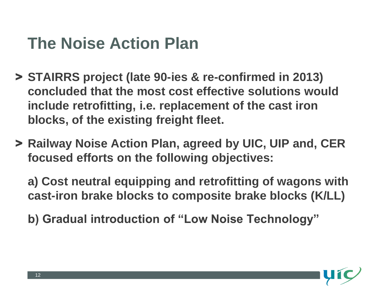## **The Noise Action Plan**

- > **STAIRRS project (late 90-ies & re-confirmed in 2013) concluded that the most cost effective solutions would include retrofitting, i.e. replacement of the cast iron blocks, of the existing freight fleet.**
- > **Railway Noise Action Plan, agreed by UIC, UIP and, CER focused efforts on the following objectives:**

**a) Cost neutral equipping and retrofitting of wagons with cast-iron brake blocks to composite brake blocks (K/LL)**

**b) Gradual introduction of "Low Noise Technology"**

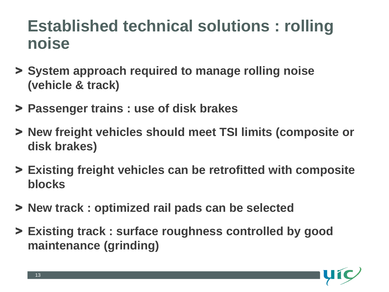### **Established technical solutions : rolling noise**

- > **System approach required to manage rolling noise (vehicle & track)**
- > **Passenger trains : use of disk brakes**
- > **New freight vehicles should meet TSI limits (composite or disk brakes)**
- > **Existing freight vehicles can be retrofitted with composite blocks**
- > **New track : optimized rail pads can be selected**
- > **Existing track : surface roughness controlled by good maintenance (grinding)**

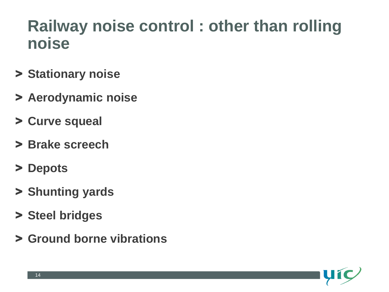#### **Railway noise control : other than rolling noise**

- > **Stationary noise**
- > **Aerodynamic noise**
- > **Curve squeal**
- > **Brake screech**
- > **Depots**
- > **Shunting yards**
- > **Steel bridges**
- > **Ground borne vibrations**